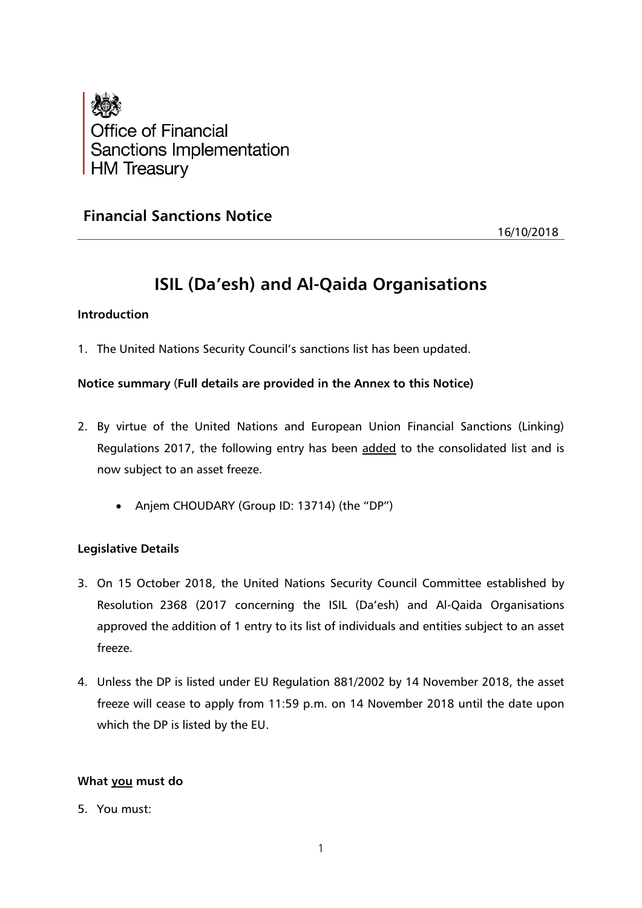

## **Financial Sanctions Notice**

16/10/2018

# **ISIL (Da'esh) and Al-Qaida Organisations**

## **Introduction**

1. The United Nations Security Council's sanctions list has been updated.

## **Notice summary** (**Full details are provided in the Annex to this Notice)**

- 2. By virtue of the United Nations and European Union Financial Sanctions (Linking) Regulations 2017, the following entry has been added to the consolidated list and is now subject to an asset freeze.
	- Anjem CHOUDARY (Group ID: 13714) (the "DP")

## **Legislative Details**

- 3. On 15 October 2018, the United Nations Security Council Committee established by Resolution 2368 (2017 concerning the ISIL (Da'esh) and Al-Qaida Organisations approved the addition of 1 entry to its list of individuals and entities subject to an asset freeze.
- 4. Unless the DP is listed under EU Regulation 881/2002 by 14 November 2018, the asset freeze will cease to apply from 11:59 p.m. on 14 November 2018 until the date upon which the DP is listed by the EU.

## **What you must do**

5. You must: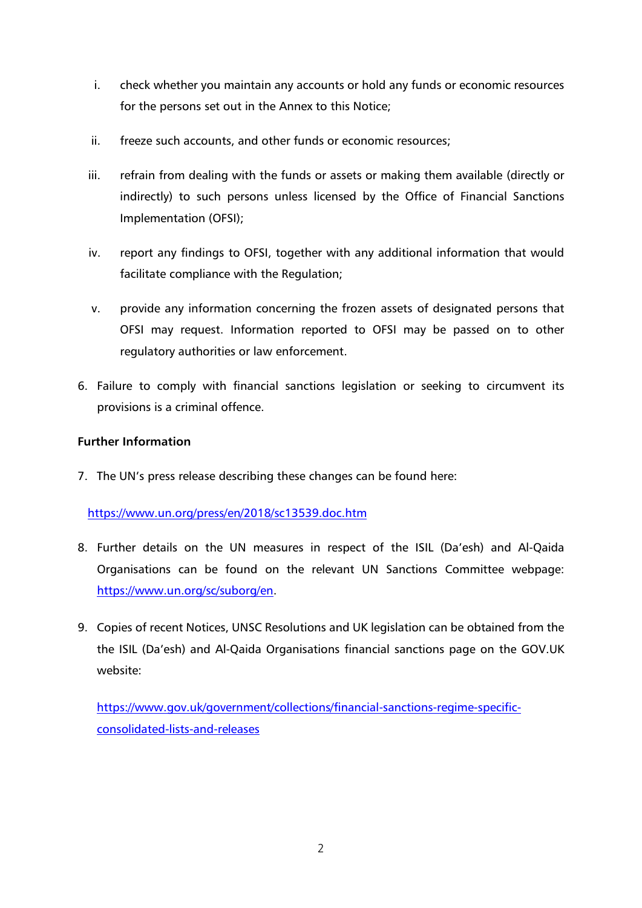- i. check whether you maintain any accounts or hold any funds or economic resources for the persons set out in the Annex to this Notice;
- ii. freeze such accounts, and other funds or economic resources;
- iii. refrain from dealing with the funds or assets or making them available (directly or indirectly) to such persons unless licensed by the Office of Financial Sanctions Implementation (OFSI);
- iv. report any findings to OFSI, together with any additional information that would facilitate compliance with the Regulation;
- v. provide any information concerning the frozen assets of designated persons that OFSI may request. Information reported to OFSI may be passed on to other regulatory authorities or law enforcement.
- 6. Failure to comply with financial sanctions legislation or seeking to circumvent its provisions is a criminal offence.

## **Further Information**

7. The UN's press release describing these changes can be found here:

## <https://www.un.org/press/en/2018/sc13539.doc.htm>

- 8. Further details on the UN measures in respect of the ISIL (Da'esh) and Al-Qaida Organisations can be found on the relevant UN Sanctions Committee webpage: [https://www.un.org/sc/suborg/en.](https://www.un.org/sc/suborg/en)
- 9. Copies of recent Notices, UNSC Resolutions and UK legislation can be obtained from the the ISIL (Da'esh) and Al-Qaida Organisations financial sanctions page on the GOV.UK website:

[https://www.gov.uk/government/collections/financial-sanctions-regime-specific](https://www.gov.uk/government/collections/financial-sanctions-regime-specific-consolidated-lists-and-releases)[consolidated-lists-and-releases](https://www.gov.uk/government/collections/financial-sanctions-regime-specific-consolidated-lists-and-releases)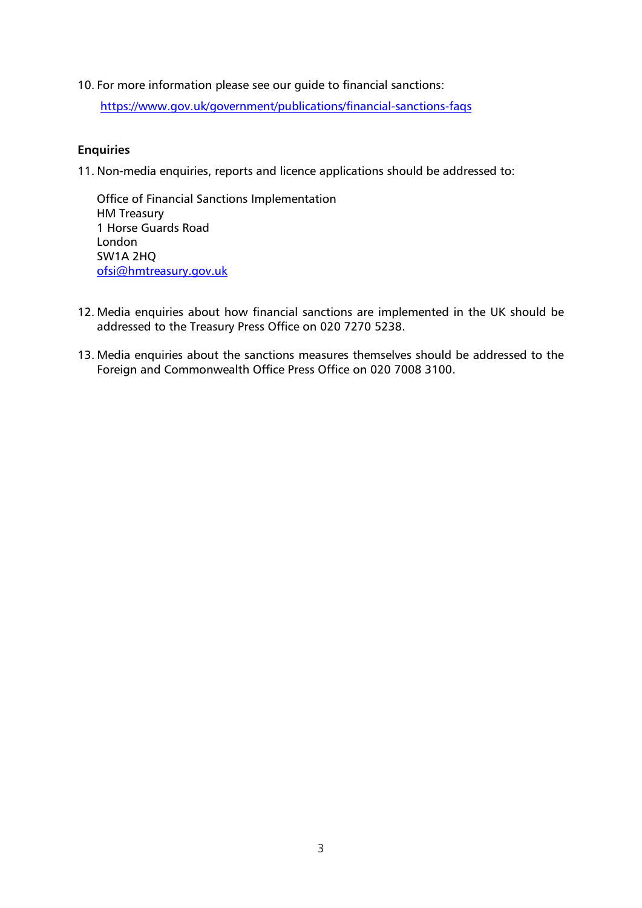10. For more information please see our guide to financial sanctions:

<https://www.gov.uk/government/publications/financial-sanctions-faqs>

## **Enquiries**

11. Non-media enquiries, reports and licence applications should be addressed to:

Office of Financial Sanctions Implementation HM Treasury 1 Horse Guards Road London SW1A 2HQ [ofsi@hmtreasury.gov.uk](mailto:ofsi@hmtreasury.gov.uk)

- 12. Media enquiries about how financial sanctions are implemented in the UK should be addressed to the Treasury Press Office on 020 7270 5238.
- 13. Media enquiries about the sanctions measures themselves should be addressed to the Foreign and Commonwealth Office Press Office on 020 7008 3100.